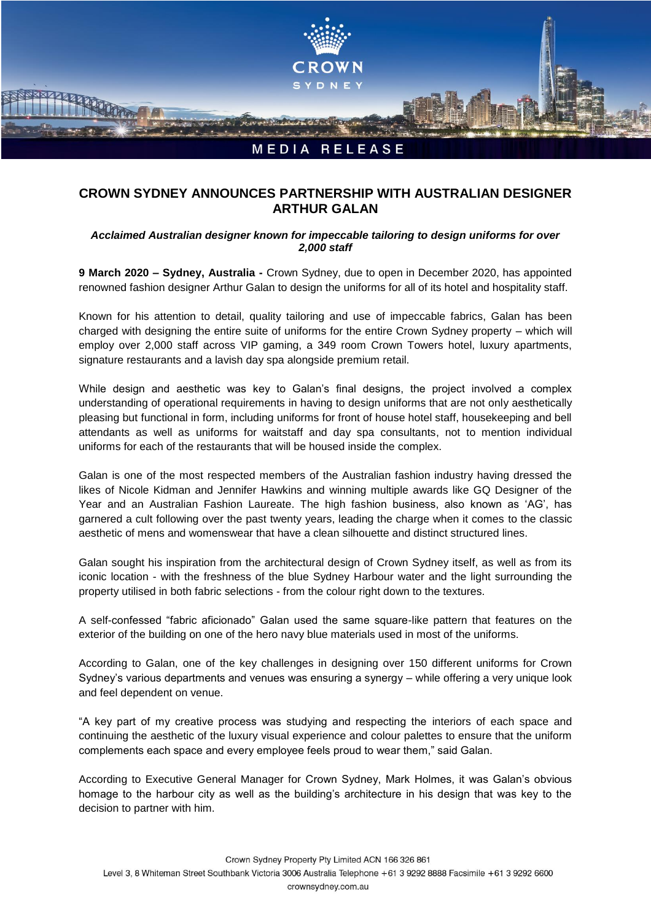

## **CROWN SYDNEY ANNOUNCES PARTNERSHIP WITH AUSTRALIAN DESIGNER ARTHUR GALAN**

## *Acclaimed Australian designer known for impeccable tailoring to design uniforms for over 2,000 staff*

**9 March 2020 – Sydney, Australia -** Crown Sydney, due to open in December 2020, has appointed renowned fashion designer Arthur Galan to design the uniforms for all of its hotel and hospitality staff.

Known for his attention to detail, quality tailoring and use of impeccable fabrics, Galan has been charged with designing the entire suite of uniforms for the entire Crown Sydney property – which will employ over 2,000 staff across VIP gaming, a 349 room Crown Towers hotel, luxury apartments, signature restaurants and a lavish day spa alongside premium retail.

While design and aesthetic was key to Galan's final designs, the project involved a complex understanding of operational requirements in having to design uniforms that are not only aesthetically pleasing but functional in form, including uniforms for front of house hotel staff, housekeeping and bell attendants as well as uniforms for waitstaff and day spa consultants, not to mention individual uniforms for each of the restaurants that will be housed inside the complex.

Galan is one of the most respected members of the Australian fashion industry having dressed the likes of Nicole Kidman and Jennifer Hawkins and winning multiple awards like GQ Designer of the Year and an Australian Fashion Laureate. The high fashion business, also known as 'AG', has garnered a cult following over the past twenty years, leading the charge when it comes to the classic aesthetic of mens and womenswear that have a clean silhouette and distinct structured lines.

Galan sought his inspiration from the architectural design of Crown Sydney itself, as well as from its iconic location - with the freshness of the blue Sydney Harbour water and the light surrounding the property utilised in both fabric selections - from the colour right down to the textures.

A self-confessed "fabric aficionado" Galan used the same square-like pattern that features on the exterior of the building on one of the hero navy blue materials used in most of the uniforms.

According to Galan, one of the key challenges in designing over 150 different uniforms for Crown Sydney's various departments and venues was ensuring a synergy – while offering a very unique look and feel dependent on venue.

"A key part of my creative process was studying and respecting the interiors of each space and continuing the aesthetic of the luxury visual experience and colour palettes to ensure that the uniform complements each space and every employee feels proud to wear them," said Galan.

According to Executive General Manager for Crown Sydney, Mark Holmes, it was Galan's obvious homage to the harbour city as well as the building's architecture in his design that was key to the decision to partner with him.

Crown Sydney Property Pty Limited ACN 166 326 861 Level 3, 8 Whiteman Street Southbank Victoria 3006 Australia Telephone +61 3 9292 8888 Facsimile +61 3 9292 6600 crownsydney.com.au